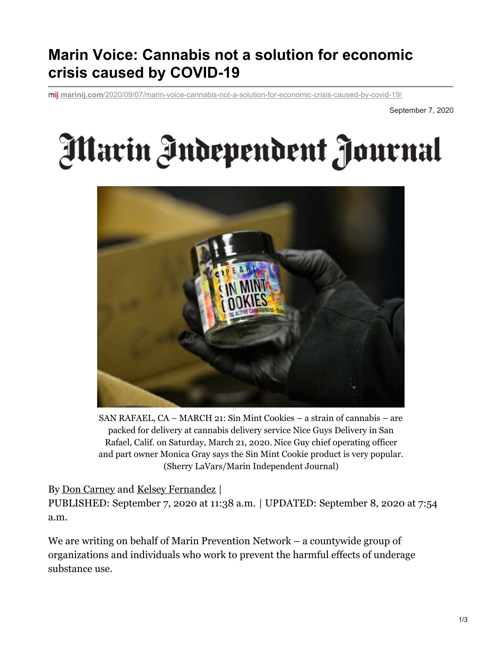## **Marin Voice: Cannabis not a solution for economic crisis caused by COVID-19**

**marinij.com**[/2020/09/07/marin-voice-cannabis-not-a-solution-for-economic-crisis-caused-by-covid-19/](https://www.marinij.com/2020/09/07/marin-voice-cannabis-not-a-solution-for-economic-crisis-caused-by-covid-19/)

September 7, 2020

## Marin Independent Journal



SAN RAFAEL, CA – MARCH 21: Sin Mint Cookies – a strain of cannabis – are packed for delivery at cannabis delivery service Nice Guys Delivery in San Rafael, Calif. on Saturday, March 21, 2020. Nice Guy chief operating officer and part owner Monica Gray says the Sin Mint Cookie product is very popular. (Sherry LaVars/Marin Independent Journal)

## By Don [Carney](https://www.marinij.com/author/don-carney/) and Kelsey [Fernandez](https://www.marinij.com/author/kelsey-fernandez/) |

PUBLISHED: September 7, 2020 at 11:38 a.m. | UPDATED: September 8, 2020 at 7:54 a.m.

We are writing on behalf of Marin Prevention Network – a countywide group of organizations and individuals who work to prevent the harmful effects of underage substance use.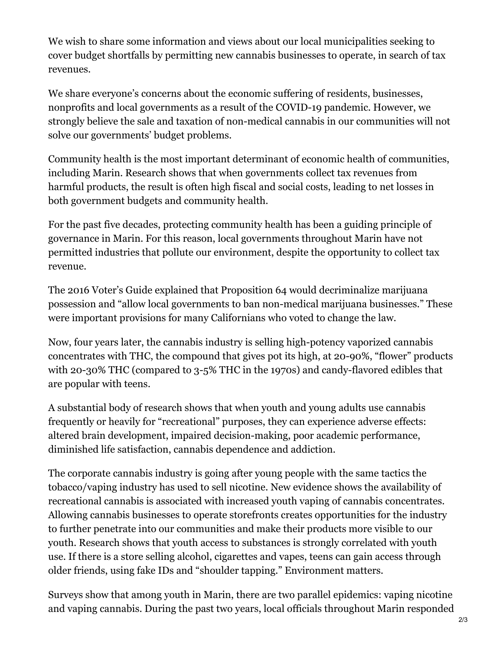We wish to share some information and views about our local municipalities seeking to cover budget shortfalls by permitting new cannabis businesses to operate, in search of tax revenues.

We share everyone's concerns about the economic suffering of residents, businesses, nonprofits and local governments as a result of the COVID-19 pandemic. However, we strongly believe the sale and taxation of non-medical cannabis in our communities will not solve our governments' budget problems.

Community health is the most important determinant of economic health of communities, including Marin. Research shows that when governments collect tax revenues from harmful products, the result is often high fiscal and social costs, leading to net losses in both government budgets and community health.

For the past five decades, protecting community health has been a guiding principle of governance in Marin. For this reason, local governments throughout Marin have not permitted industries that pollute our environment, despite the opportunity to collect tax revenue.

The 2016 Voter's Guide explained that Proposition 64 would decriminalize marijuana possession and "allow local governments to ban non-medical marijuana businesses." These were important provisions for many Californians who voted to change the law.

Now, four years later, the cannabis industry is selling high-potency vaporized cannabis concentrates with THC, the compound that gives pot its high, at 20-90%, "flower" products with 20-30% THC (compared to 3-5% THC in the 1970s) and candy-flavored edibles that are popular with teens.

A substantial body of research shows that when youth and young adults use cannabis frequently or heavily for "recreational" purposes, they can experience adverse effects: altered brain development, impaired decision-making, poor academic performance, diminished life satisfaction, cannabis dependence and addiction.

The corporate cannabis industry is going after young people with the same tactics the tobacco/vaping industry has used to sell nicotine. New evidence shows the availability of recreational cannabis is associated with increased youth vaping of cannabis concentrates. Allowing cannabis businesses to operate storefronts creates opportunities for the industry to further penetrate into our communities and make their products more visible to our youth. Research shows that youth access to substances is strongly correlated with youth use. If there is a store selling alcohol, cigarettes and vapes, teens can gain access through older friends, using fake IDs and "shoulder tapping." Environment matters.

Surveys show that among youth in Marin, there are two parallel epidemics: vaping nicotine and vaping cannabis. During the past two years, local officials throughout Marin responded